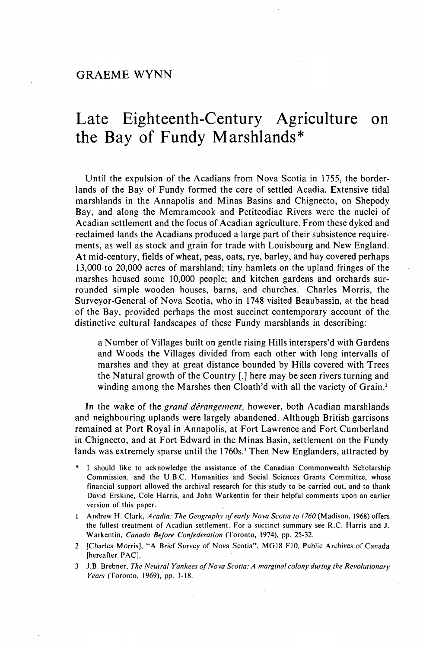## Late Eighteenth-Century Agriculture on the Bay of Fundy Marshlands\*

Until the expulsion of the Acadians from Nova Scotia in 1755, the borderlands of the Bay of Fundy formed the core of settled Acadia. Extensive tidal marshlands in the Annapolis and Minas Basins and Chignecto, on Shepody Bay, and along the Memramcook and Petitcodiac Rivers were the nuclei of Acadian settlement and the focus of Acadian agriculture. From these dyked and reclaimed lands the Acadians produced a large part of their subsistence requirements, as well as stock and grain for trade with Louisbourg and New England. At mid-century, fields of wheat, peas, oats, rye, barley, and hay covered perhaps 13,000 to 20,000 acres of marshland; tiny hamlets on the upland fringes of the marshes housed some 10,000 people; and kitchen gardens and orchards surrounded simple wooden houses, barns, and churches.<sup>1</sup> Charles Morris, the Surveyor-General of Nova Scotia, who in 1748 visited Beaubassin, at the head of the Bay, provided perhaps the most succinct contemporary account of the distinctive cultural landscapes of these Fundy marshlands in describing:

a Number of Villages built on gentle rising Hills interspers'd with Gardens and Woods the Villages divided from each other with long intervalls of marshes and they at great distance bounded by Hills covered with Trees the Natural growth of the Country [.] here may be seen rivers turning and winding among the Marshes then Cloath'd with all the variety of Grain.<sup>2</sup>

In the wake of the *grand dérangement,* however, both Acadian marshlands and neighbouring uplands were largely abandoned. Although British garrisons remained at Port Royal in Annapolis, at Fort Lawrence and Fort Cumberland in Chignecto, and at Fort Edward in the Minas Basin, settlement on the Fundy lands was extremely sparse until the 1760s.<sup>3</sup> Then New Englanders, attracted by

- I should like to acknowledge the assistance of the Canadian Commonwealth Scholarship Commission, and the U.B.C. Humanities and Social Sciences Grants Committee, whose financial support allowed the archival research for this study to be carried out, and to thank David Erskine, Cole Harris, and John Warkentin for their helpful comments upon an earlier version of this paper.
- 1 Andrew H. Clark, *Acadia: The Geography of early Nova Scotia to 1760* (Madison, 1968) offers the fullest treatment of Acadian settlement. For a succinct summary see R.C. Harris and J. Warkentin, *Canada Before Confederation* (Toronto, 1974), pp. 25-32.
- 2 [Charles Morris], "A Brief Survey of Nova Scotia", MG18 F10, Public Archives of Canada [hereafter PAC].
- 3 J.B. Brebner, *The Neutral Yankees of Nova Scotia: A marginal colony during the Revolutionary Years* (Toronto, 1969), pp. 1-18.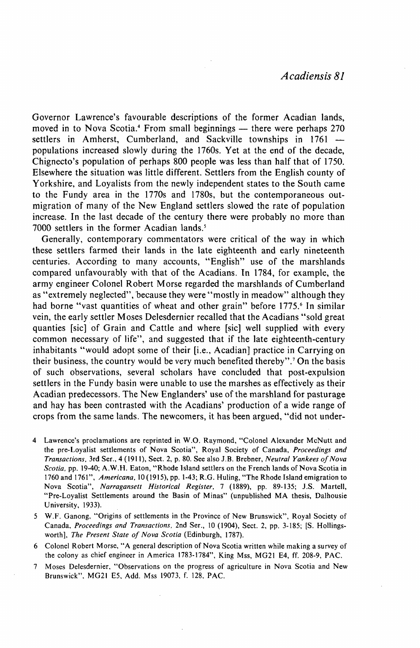Governor Lawrence's favourable descriptions of the former Acadian lands, moved in to Nova Scotia.<sup>4</sup> From small beginnings - there were perhaps 270 settlers in Amherst, Cumberland, and Sackville townships in 1761 populations increased slowly during the 1760s. Yet at the end of the decade, Chignecto's population of perhaps 800 people was less than half that of 1750. Elsewhere the situation was little different. Settlers from the English county of Yorkshire, and Loyalists from the newly independent states to the South came to the Fundy area in the 1770s and 1780s, but the contemporaneous outmigration of many of the New England settlers slowed the rate of population increase. In the last decade of the century there were probably no more than 7000 settlers in the former Acadian lands.<sup>5</sup>

Generally, contemporary commentators were critical of the way in which these settlers farmed their lands in the late eighteenth and early nineteenth centuries. According to many accounts, "English" use of the marshlands compared unfavourably with that of the Acadians. In 1784, for example, the army engineer Colonel Robert Morse regarded the marshlands of Cumberland as "extremely neglected", because they were "mostly in meadow" although they had borne "vast quantities of wheat and other grain" before 1775.<sup>6</sup> In similar vein, the early settler Moses Delesdernier recalled that the Acadians "sold great quanties [sic] of Grain and Cattle and where [sic] well supplied with every common necessary of life", and suggested that if the late eighteenth-century inhabitants "would adopt some of their [i.e., Acadian] practice in Carrying on their business, the country would be very much benefited thereby".<sup>7</sup> On the basis of such observations, several scholars have concluded that post-expulsion settlers in the Fundy basin were unable to use the marshes as effectively as their Acadian predecessors. The New Englanders' use of the marshland for pasturage and hay has been contrasted with the Acadians' production of a wide range of crops from the same lands. The newcomers, it has been argued, "did not under-

- 4 Lawrence's proclamations are reprinted in W.O. Raymond, "Colonel Alexander McNutt and the pre-Loyalist settlements of Nova Scotia", Royal Society of Canada, *Proceedings and Transactions,* 3rd Ser., 4 (1911), Sect. 2, p. 80. See also J.B. Brebner, *Neutral Yankees of Nova Scotia,* pp. 19-40; A.W.H. Eaton, "Rhode Island settlers on the French lands of Nova Scotia in 1760 and 1761", *Americana,* 10(1915), pp. 1-43; R.G. Huling, "The Rhode Island emigration to Nova Scotia", *Narragansett Historical Register,* 7 (1889), pp. 89-135; J.S. Martell, "Pre-Loyalist Settlements around the Basin of Minas" (unpublished MA thesis, Dalhousie University, 1933).
- 5 W.F. Ganong, "Origins of settlements in the Province of New Brunswick", Royal Society of Canada, *Proceedings and Transactions,* 2nd Ser., 10 (1904), Sect. 2, pp. 3-185; [S. Hollingsworth], *The Present State of Nova Scotia* (Edinburgh, 1787).
- 6 Colonel Robert Morse, "A general description of Nova Scotia written while making a survey of the colony as chief engineer in America 1783-1784", King Mss, MG21 E4, ff. 208-9, PAC.
- 7 Moses Delesdernier, "Observations on the progress of agriculture in Nova Scotia and New Brunswick", MG2I E5, Add. Mss 19073, f. 128, PAC.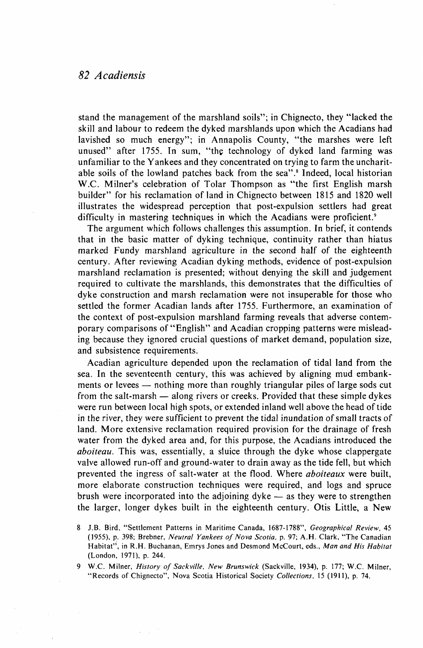## *82 Acadiensis*

stand the management of the marshland soils"; in Chignecto, they "lacked the skill and labour to redeem the dyked marshlands upon which the Acadians had lavished so much energy"; in Annapolis County, "the marshes were left unused" after 1755. In sum, "the technology of dyked land farming was unfamiliar to the Yankees and they concentrated on trying to farm the uncharitable soils of the lowland patches back from the sea".<sup>8</sup> Indeed, local historian W.C. Milner's celebration of Tolar Thompson as "the first English marsh builder" for his reclamation of land in Chignecto between 1815 and 1820 well illustrates the widespread perception that post-expulsion settlers had great difficulty in mastering techniques in which the Acadians were proficient.<sup>9</sup>

The argument which follows challenges this assumption. In brief, it contends that in the basic matter of dyking technique, continuity rather than hiatus marked Fundy marshland agriculture in the second half of the eighteenth century. After reviewing Acadian dyking methods, evidence of post-expulsion marshland reclamation is presented; without denying the skill and judgement required to cultivate the marshlands, this demonstrates that the difficulties of dyke construction and marsh reclamation were not insuperable for those who settled the former Acadian lands after 1755. Furthermore, an examination of the context of post-expulsion marshland farming reveals that adverse contemporary comparisons of "English" and Acadian cropping patterns were misleading because they ignored crucial questions of market demand, population size, and subsistence requirements.

Acadian agriculture depended upon the reclamation of tidal land from the sea. In the seventeenth century, this was achieved by aligning mud embankments or levees — nothing more than roughly triangular piles of large sods cut from the salt-marsh — along rivers or creeks. Provided that these simple dykes were run between local high spots, or extended inland well above the head of tide in the river, they were sufficient to prevent the tidal inundation of small tracts of land. More extensive reclamation required provision for the drainage of fresh water from the dyked area and, for this purpose, the Acadians introduced the *aboiteau.* This was, essentially, a sluice through the dyke whose clappergate valve allowed run-off and ground-water to drain away as the tide fell, but which prevented the ingress of salt-water at the flood. Where *aboiteaux* were built, more elaborate construction techniques were required, and logs and spruce brush were incorporated into the adjoining dyke — as they were to strengthen the larger, longer dykes built in the eighteenth century. Otis Little, a New

<sup>8</sup> J.B. Bird, "Settlement Patterns in Maritime Canada, 1687-1788", *Geographical Review,* 45 (1955), p. 398; Brebner, *Neutral Yankees of Nova Scotia,* p. 97; A.H. Clark, "The Canadian Habitat", in R.H. Buchanan, Emrys Jones and Desmond McCourt, eds., *Man and His Habitat*  (London, 1971), p. 244.

<sup>9</sup> W.C. Milner, *History of Sackville, New Brunswick* (Sackville, 1934), p. 177; W.C. Milner, "Records of Chignecto", Nova Scotia Historical Society *Collections,* 15 (1911), p. 74.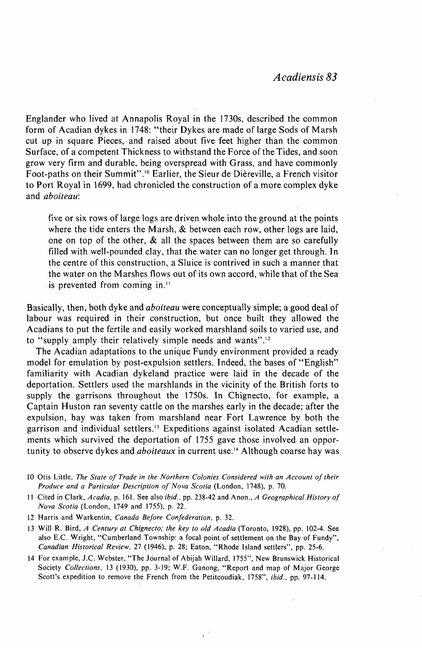Englander who lived at Annapolis Royal in the 1730s, described the common form of Acadian dykes in 1748: "their Dykes are made of large Sods of Marsh cut up in square Pieces, and raised about five feet higher than the common Surface, of a competent Thickness to withstand the Force of the Tides, and soon grow very firm and durable, being overspread with Grass, and have commonly Foot-paths on their Summit".<sup>10</sup> Earlier, the Sieur de Dièreville, a French visitor to Port Royal in 1699, had chronicled the construction of a more complex dyke and *aboiteau:* 

five or six rows of large logs are driven whole into the ground at the points where the tide enters the Marsh, & between each row, other logs are laid, one on top of the other, & all the spaces between them are so carefully filled with well-pounded clay, that the water can no longer get through. In the centre of this construction, a Sluice is contrived in such a manner that the water on the Marshes flows out of its own accord, while that of the Sea is prevented from coming in."

Basically, then, both dyke and *aboiteau* were conceptually simple; a good deal of labour was required in their construction, but once built they allowed the Acadians to put the fertile and easily worked marshland soils to varied use, and to "supply amply their relatively simple needs and wants".<sup>12</sup>

The Acadian adaptations to the unique Fundy environment provided a ready model for emulation by post-expulsion settlers. Indeed, the bases of "English" familiarity with Acadian dykeland practice were laid in the decade of the deportation. Settlers used the marshlands in the vicinity of the British forts to supply the garrisons throughout the 1750s. In Chignecto, for example, a Captain Huston ran seventy cattle on the marshes early in the decade; after the expulsion, hay was taken from marshland near Fort Lawrence by both the garrison and individual settlers.<sup>13</sup> Expeditions against isolated Acadian settlements which survived the deportation of 1755 gave those involved an opportunity to observe dykes and *aboiteaux* in current use.<sup>14</sup> Although coarse hay was

- 10 Otis Little, *The State of Trade in the Northern Colonies Considered with an Account of their Produce and a Particular Description of Nova Scotia* (London, 1748), p. 70.
- 11 Cited in Clark, *Acadia,* p. 161. See also *ibid.,* pp. 238-42 and Anon., *A Geographical History of Nova Scotia* (London, 1749 and 1755), p. 22.
- 12 Harris and Warkentin, *Canada Before Confederation,* p. 32.
- 13 Will R. Bird, *A Century at Chignecto; the key to old Acadia* (Toronto, 1928), pp. 102-4. See also E.C. Wright, "Cumberland Township: a focal point of settlement on the Bay of Fundy", *Canadian Historical Review,* 27 (1946), p. 28; Eaton, "Rhode Island settlers", pp. 25-6.
- 14 For example, J.C. Webster, "The Journal of Abijah Willard, 1755", New Brunswick Historical Society *Collections,* 13 (1930), pp. 3-19; W.F. Ganong, "Report and map of Major George Scott's expedition to remove the French from the Petitcoudiak, 1758", *ibid.,* pp. 97-114.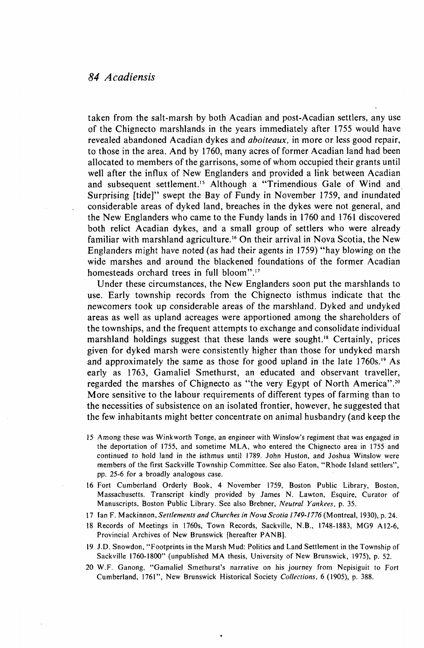## *84 Acadiensis*

taken from the salt-marsh by both Acadian and post-Acadian settlers, any use of the Chignecto marshlands in the years immediately after 1755 would have revealed abandoned Acadian dykes and *aboiteaux,* in more or less good repair, to those in the area. And by 1760, many acres of former Acadian land had been allocated to members of the garrisons, some of whom occupied their grants until well after the influx of New Englanders and provided a link between Acadian and subsequent settlement.<sup>15</sup> Although a "Trimendious Gale of Wind and Surprising [tide]" swept the Bay of Fundy in November 1759, and inundated considerable areas of dyked land, breaches in the dykes were not general, and the New Englanders who came to the Fundy lands in 1760 and 1761 discovered both relict Acadian dykes, and a small group of settlers who were already familiar with marshland agriculture.<sup>16</sup> On their arrival in Nova Scotia, the New Englanders might have noted (as had their agents in 1759) "hay blowing on the wide marshes and around the blackened foundations of the former Acadian homesteads orchard trees in full bloom".<sup>17</sup>

Under these circumstances, the New Englanders soon put the marshlands to use. Early township records from the Chignecto isthmus indicate that the newcomers took up considerable areas of the marshland. Dyked and undyked areas as well as upland acreages were apportioned among the shareholders of the townships, and the frequent attempts to exchange and consolidate individual marshland holdings suggest that these lands were sought.<sup>18</sup> Certainly, prices given for dyked marsh were consistently higher than those for undyked marsh and approximately the same as those for good upland in the late 1760s.<sup>19</sup> As early as 1763, Gamaliel Smethurst, an educated and observant traveller, regarded the marshes of Chignecto as "the very Egypt of North America".<sup>20</sup> More sensitive to the labour requirements of different types of farming than to the necessities of subsistence on an isolated frontier, however, he suggested that the few inhabitants might better concentrate on animal husbandry (and keep the

- 15 Among these was Winkworth Tonge, an engineer with Winslow's regiment that was engaged in the deportation of 1755, and sometime MLA, who entered the Chignecto area in 1755 and continued to hold land in the isthmus until 1789. John Huston, and Joshua Winslow were members of the first Sackville Township Committee. See also Eaton, "Rhode Island settlers", pp. 25-6 for a broadly analogous case.
- 16 Fort Cumberland Orderly Book, 4 November 1759, Boston Public Library, Boston, Massachusetts. Transcript kindly provided by James N. Lawton, Esquire, Curator of Manuscripts, Boston Public Library. See also Brebner, *Neutral Yankees,* p. 35.
- 17 Ian F. Mackinnon, *Settlements and Churches in Nova Scotia 1749-1776* (Montreal, 1930), p. 24.
- 18 Records of Meetings in 1760s, Town Records, Sackville, N.B., 1748-1883, MG9 A12-6, Provincial Archives of New Brunswick [hereafter PANB].
- 19 J.D. Snowdon, "Footprints in the Marsh Mud: Politics and Land Settlement in the Township of Sackville 1760-1800" (unpublished MA thesis, University of New Brunswick, 1975), p. 52.
- 20 W.F. Ganong, "Gamaliel Smethurst's narrative on his journey from Nepisiguit to Fort Cumberland, 1761", New Brunswick Historical Society *Collections,* 6 (1905), p. 388.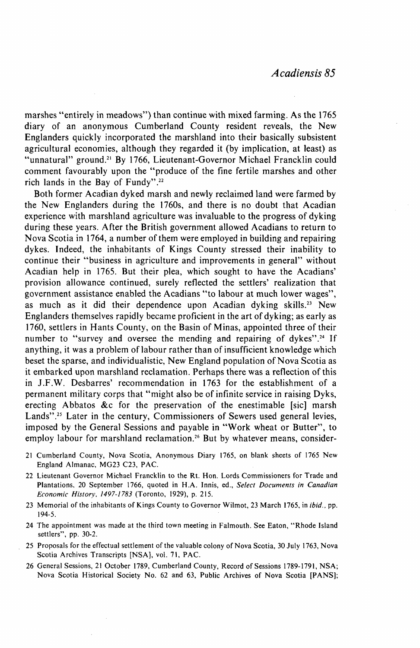marshes "entirely in meadows") than continue with mixed farming. As the 1765 diary of an anonymous Cumberland County resident reveals, the New Englanders quickly incorporated the marshland into their basically subsistent agricultural economies, although they regarded it (by implication, at least) as "unnatural" ground.<sup>21</sup> By 1766, Lieutenant-Governor Michael Francklin could comment favourably upon the "produce of the fine fertile marshes and other rich lands in the Bay of Fundy".<sup>22</sup>

Both former Acadian dyked marsh and newly reclaimed land were farmed by the New Englanders during the 1760s, and there is no doubt that Acadian experience with marshland agriculture was invaluable to the progress of dyking during these years. After the British government allowed Acadians to return to Nova Scotia in 1764, a number of them were employed in building and repairing dykes. Indeed, the inhabitants of Kings County stressed their inability to continue their "business in agriculture and improvements in general" without Acadian help in 1765. But their plea, which sought to have the Acadians' provision allowance continued, surely reflected the settlers' realization that government assistance enabled the Acadians "to labour at much lower wages", as much as it did their dependence upon Acadian dyking skills.<sup>23</sup> New Englanders themselves rapidly became proficient in the art of dyking; as early as 1760, settlers in Hants County, on the Basin of Minas, appointed three of their number to "survey and oversee the mending and repairing of dykes".<sup>24</sup> If anything, it was a problem of labour rather than of insufficient knowledge which beset the sparse, and individualistic, New England population of Nova Scotia as it embarked upon marshland reclamation. Perhaps there was a reflection of this in J.F.W. Desbarres' recommendation in 1763 for the establishment of a permanent military corps that "might also be of infinite service in raising Dyks, erecting Abbatos &c for the preservation of the enestimable [sic] marsh Lands".<sup>25</sup> Later in the century, Commissioners of Sewers used general levies, imposed by the General Sessions and payable in "Work wheat or Butter", to employ labour for marshland reclamation.<sup>26</sup> But by whatever means, consider-

- 21 Cumberland County, Nova Scotia, Anonymous Diary 1765, on blank sheets of 1765 New England Almanac, MG23 C23, PAC.
- 22 Lieutenant Governor Michael Francklin to the Rt. Hon. Lords Commissioners for Trade and Plantations, 20 September 1766, quoted in H.A. Innis, ed., *Select Documents in Canadian Economic History. 1497-1783* (Toronto, 1929), p. 215.
- 23 Memorial of the inhabitants of Kings County to Governor Wilmot, 23 March 1765, in *ibid.,* pp. 194-5.
- 24 The appointment was made at the third town meeting in Falmouth. See Eaton, "Rhode Island settlers", pp. 30-2.
- 25 Proposals for the effectual settlement of the valuable colony of Nova Scotia, 30 July 1763, Nova Scotia Archives Transcripts [NSA], vol. 71, PAC.
- 26 General Sessions, 21 October 1789, Cumberland County, Record of Sessions 1789-1791, NSA; Nova Scotia Historical Society No. 62 and 63, Public Archives of Nova Scotia [PANS];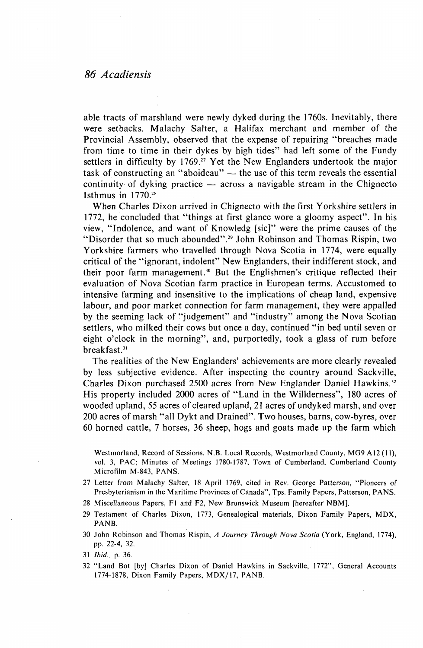able tracts of marshland were newly dyked during the 1760s. Inevitably, there were setbacks. Malachy Salter, a Halifax merchant and member of the Provincial Assembly, observed that the expense of repairing "breaches made from time to time in their dykes by high tides" had left some of the Fundy settlers in difficulty by 1769.<sup>27</sup> Yet the New Englanders undertook the major task of constructing an "aboideau" — the use of this term reveals the essential continuity of dyking practice — across a navigable stream in the Chignecto Isthmus in 1770.<sup>28</sup>

When Charles Dixon arrived in Chignecto with the first Yorkshire settlers in 1772, he concluded that "things at first glance wore a gloomy aspect". In his view, "Indolence, and want of Knowledg [sic]" were the prime causes of the "Disorder that so much abounded".<sup>29</sup> John Robinson and Thomas Rispin, two Yorkshire farmers who travelled through Nova Scotia in 1774, were equally critical of the "ignorant, indolent" New Englanders, their indifferent stock, and their poor farm management.<sup>30</sup> But the Englishmen's critique reflected their evaluation of Nova Scotian farm practice in European terms. Accustomed to intensive farming and insensitive to the implications of cheap land, expensive labour, and poor market connection for farm management, they were appalled by the seeming lack of "judgement" and "industry" among the Nova Scotian settlers, who milked their cows but once a day, continued "in bed until seven or eight o'clock in the morning", and, purportedly, took a glass of rum before breakfast.<sup>31</sup>

The realities of the New Englanders' achievements are more clearly revealed by less subjective evidence. After inspecting the country around Sackville, Charles Dixon purchased 2500 acres from New Englander Daniel Hawkins.<sup>32</sup> His property included 2000 acres of "Land in the Willderness", 180 acres of wooded upland, 55 acres of cleared upland, 21 acres of undyked marsh, and over 200 acres of marsh "all Dykt and Drained". Two houses, barns, cow-byres, over 60 horned cattle, 7 horses, 36 sheep, hogs and goats made up the farm which

Westmorland, Record of Sessions, N.B. Local Records, Westmorland County, MG9 A12 (11), vol. 3, PAC; Minutes of Meetings 1780-1787, Town of Cumberland, Cumberland County Microfilm M-843, PANS.

- 27 Letter from Malachy Salter, 18 April 1769, cited in Rev. George Patterson, "Pioneers of Presbyterianism in the Maritime Provinces of Canada", Tps. Family Papers, Patterson, PANS.
- 28 Miscellaneous Papers, Fl and F2, New Brunswick Museum [hereafter NBM].
- 29 Testament of Charles Dixon, 1773, Genealogical materials, Dixon Family Papers, MDX, PANB.
- 30 John Robinson and Thomas Rispin, *A Journey Through Nova Scotia* (York, England, 1774), pp. 22-4, 32.
- 31 *Ibid.,* p. 36.
- 32 "Land Bot [by] Charles Dixon of Daniel Hawkins in Sackville, 1772", General Accounts 1774-1878, Dixon Family Papers, MDX/17, PANB.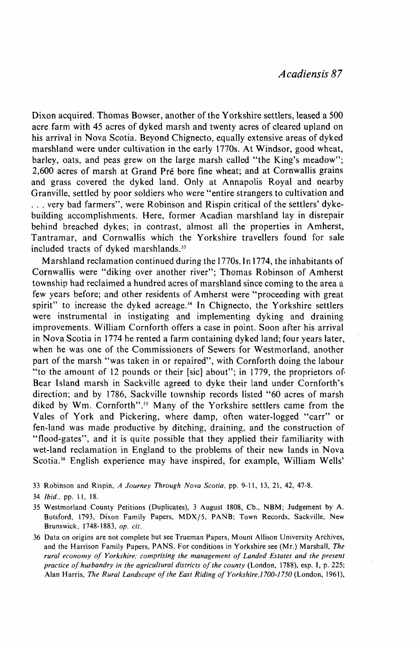Dixon acquired. Thomas Bowser, another of the Yorkshire settlers, leased a 500 acre farm with 45 acres of dyked marsh and twenty acres of cleared upland on his arrival in Nova Scotia. Beyond Chignecto, equally extensive areas of dyked marshland were under cultivation in the early 1770s. At Windsor, good wheat, barley, oats, and peas grew on the large marsh called "the King's meadow"; 2,600 acres of marsh at Grand Pré bore fine wheat; and at Cornwallis grains and grass covered the dyked land. Only at Annapolis Royal and nearby Granville, settled by poor soldiers who were "entire strangers to cultivation and . . . very bad farmers", were Robinson and Rispin critical of the settlers' dykebuilding accomplishments. Here, former Acadian marshland lay in disrepair behind breached dykes; in contrast, almost all the properties in Amherst, Tantramar, and Cornwallis which the Yorkshire travellers found for sale included tracts of dyked marshlands."

Marshland reclamation continued during the 1770s. In 1774, the inhabitants of Cornwallis were "diking over another river"; Thomas Robinson of Amherst township had reclaimed a hundred acres of marshland since coming to the area a few years before; and other residents of Amherst were "proceeding with great spirit" to increase the dyked acreage.<sup>34</sup> In Chignecto, the Yorkshire settlers were instrumental in instigating and implementing dyking and draining improvements. William Cornforth offers a case in point. Soon after his arrival in Nova Scotia in 1774 he rented a farm containing dyked land; four years later, when he was one of the Commissioners of Sewers for Westmorland, another part of the marsh "was taken in or repaired", with Cornforth doing the labour "to the amount of 12 pounds or their [sic] about"; in 1779, the proprietors of Bear Island marsh in Sackville agreed to dyke their land under Cornforth's direction; and by 1786, Sackville township records listed "60 acres of marsh diked by Wm. Cornforth".<sup>35</sup> Many of the Yorkshire settlers came from the Vales of York and Pickering, where damp, often water-logged "carr" or fen-land was made productive by ditching, draining, and the construction of "flood-gates", and it is quite possible that they applied their familiarity with wet-land reclamation in England to the problems of their new lands in Nova Scotia.<sup>36</sup> English experience may have inspired, for example, William Wells'

33 Robinson and Rispin, *A Journey Through Nova Scotia,* pp. 9-11, 13, 21, 42, 47-8.

34 *Ibid.,* pp. 11, 18.

35 Westmorland County Petitions (Duplicates), 3 August 1808, Cb., NBM; Judgement by A. Botsford, 1793, Dixon Family Papers, MDX/5, PANB; Town Records, Sackville, New Brunswick, 1748-1883, *op. cit.* 

36 Data on origins are not complete but see Trueman Papers, Mount Allison University Archives, and the Harrison Family Papers, PANS. For conditions in Yorkshire see (Mr.) Marshall, *The rural economy of Yorkshire; comprising the management of Landed Estates and the present practice of husbandry in the agricultural districts of the county* (London, 1788), esp. I, p. 225; Alan Harris, *The Rural Landscape of the East Riding of Yorkshire,! 700-1750* (London, 1961),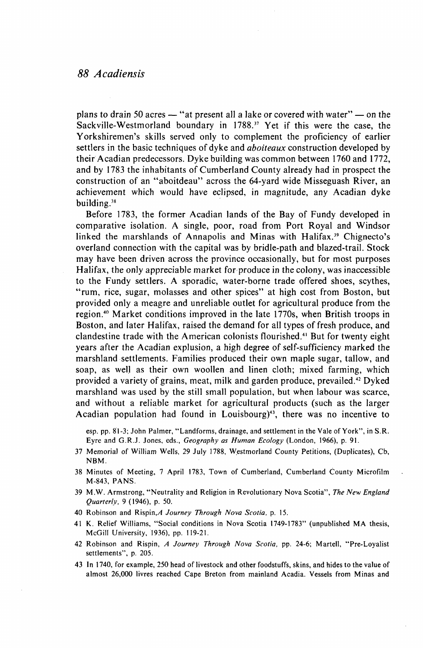plans to drain 50 acres — "at present all a lake or covered with water" — on the Sackville-Westmorland boundary in 1788.<sup>37</sup> Yet if this were the case, the Yorkshiremen's skills served only to complement the proficiency of earlier settlers in the basic techniques of dyke and *aboiteaux* construction developed by their Acadian predecessors. Dyke building was common between 1760 and 1772, and by 1783 the inhabitants of Cumberland County already had in prospect the construction of an "aboitdeau" across the 64-yard wide Misseguash River, an achievement which would have eclipsed, in magnitude, any Acadian dyke building. $38$ 

Before 1783, the former Acadian lands of the Bay of Fundy developed in comparative isolation. A single, poor, road from Port Royal and Windsor linked the marshlands of Annapolis and Minas with Halifax.<sup>39</sup> Chignecto's overland connection with the capital was by bridle-path and blazed-trail. Stock may have been driven across the province occasionally, but for most purposes Halifax, the only appreciable market for produce in the colony, was inaccessible to the Fundy settlers. A sporadic, water-borne trade offered shoes, scythes, "rum, rice, sugar, molasses and other spices" at high cost from Boston, but provided only a meagre and unreliable outlet for agricultural produce from the .<br>region.<sup>40</sup> Market conditions improved in the late 1770s, when British troops in Boston, and later Halifax, raised the demand for all types of fresh produce, and clandestine trade with the American colonists flourished.<sup>41</sup> But for twenty eight years after the Acadian explusion, a high degree of self-sufficiency marked the marshland settlements. Families produced their own maple sugar, tallow, and soap, as well as their own woollen and linen cloth; mixed farming, which provided a variety of grains, meat, milk and garden produce, prevailed.<sup>42</sup> Dyked marshland was used by the still small population, but when labour was scarce, and without a reliable market for agricultural products (such as the larger Acadian population had found in Louisbourg)<sup>43</sup> , there was no incentive to

esp. pp. 81-3; John Palmer, "Landforms, drainage, and settlement in the Vale of York", in S.R. Eyre and G.R.J. Jones, eds., *Geography as Human Ecology* (London, 1966), p. 91.

- 37 Memorial of William Wells, 29 July 1788, Westmorland County Petitions, (Duplicates), Cb, NBM.
- 38 Minutes of Meeting, 7 April 1783, Town of Cumberland, Cumberland County Microfilm M-843, PANS.
- 39 M.W. Armstrong, "Neutrality and Religion in Revolutionary Nova Scotia", *The New England Quarterly,* 9 (1946), p. 50.
- 40 Robinson and Rispin, A Journey Through Nova Scotia, p. 15.
- 41 K. Relief Williams, "Social conditions in Nova Scotia 1749-1783" (unpublished MA thesis, McGill University, 1936), pp. 119-21.
- 42 Robinson and Rispin, *A Journey Through Nova Scotia,* pp. 24-6; Martell, "Pre-Loyalist settlements", p. 205.
- 43 In 1740, for example, 250 head of livestock and other foodstuffs, skins, and hides to the value of almost 26,000 livres reached Cape Breton from mainland Acadia. Vessels from Minas and